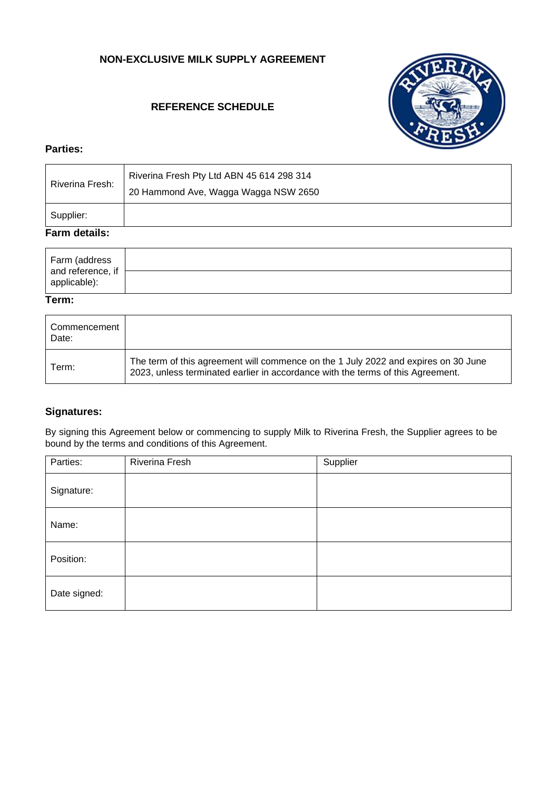# **NON-EXCLUSIVE MILK SUPPLY AGREEMENT**

# **REFERENCE SCHEDULE**



### **Parties:**

| Riverina Fresh: | Riverina Fresh Pty Ltd ABN 45 614 298 314<br>20 Hammond Ave, Wagga Wagga NSW 2650 |
|-----------------|-----------------------------------------------------------------------------------|
| Supplier:       |                                                                                   |

# **Farm details:**

| Farm (address                     |  |
|-----------------------------------|--|
| and reference, if<br>applicable): |  |

#### **Term:**

| Commencement<br>Date: |                                                                                                                                                                       |
|-----------------------|-----------------------------------------------------------------------------------------------------------------------------------------------------------------------|
| Term:                 | The term of this agreement will commence on the 1 July 2022 and expires on 30 June<br>2023, unless terminated earlier in accordance with the terms of this Agreement. |

# **Signatures:**

By signing this Agreement below or commencing to supply Milk to Riverina Fresh, the Supplier agrees to be bound by the terms and conditions of this Agreement.

| Parties:     | Riverina Fresh | Supplier |
|--------------|----------------|----------|
| Signature:   |                |          |
| Name:        |                |          |
| Position:    |                |          |
| Date signed: |                |          |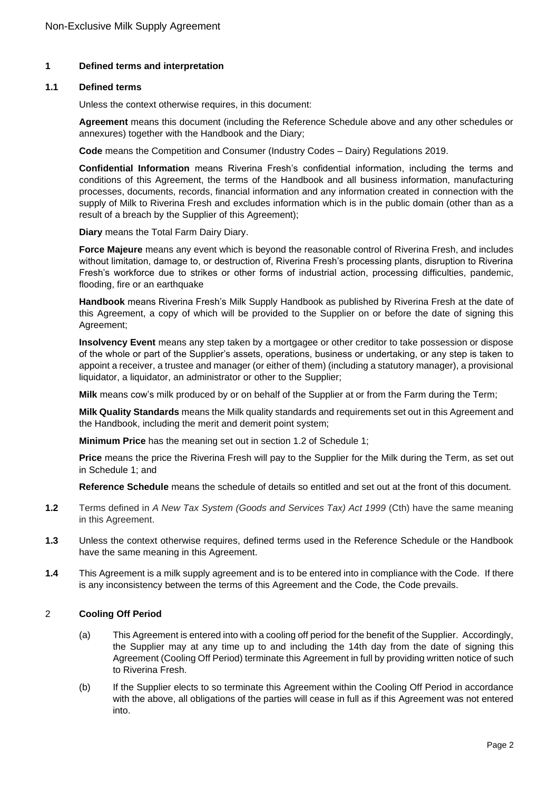### **1 Defined terms and interpretation**

#### **1.1 Defined terms**

Unless the context otherwise requires, in this document:

**Agreement** means this document (including the Reference Schedule above and any other schedules or annexures) together with the Handbook and the Diary;

**Code** means the Competition and Consumer (Industry Codes – Dairy) Regulations 2019.

**Confidential Information** means Riverina Fresh's confidential information, including the terms and conditions of this Agreement, the terms of the Handbook and all business information, manufacturing processes, documents, records, financial information and any information created in connection with the supply of Milk to Riverina Fresh and excludes information which is in the public domain (other than as a result of a breach by the Supplier of this Agreement);

**Diary** means the Total Farm Dairy Diary.

**Force Majeure** means any event which is beyond the reasonable control of Riverina Fresh, and includes without limitation, damage to, or destruction of, Riverina Fresh's processing plants, disruption to Riverina Fresh's workforce due to strikes or other forms of industrial action, processing difficulties, pandemic, flooding, fire or an earthquake

**Handbook** means Riverina Fresh's Milk Supply Handbook as published by Riverina Fresh at the date of this Agreement, a copy of which will be provided to the Supplier on or before the date of signing this Agreement;

**Insolvency Event** means any step taken by a mortgagee or other creditor to take possession or dispose of the whole or part of the Supplier's assets, operations, business or undertaking, or any step is taken to appoint a receiver, a trustee and manager (or either of them) (including a statutory manager), a provisional liquidator, a liquidator, an administrator or other to the Supplier;

**Milk** means cow's milk produced by or on behalf of the Supplier at or from the Farm during the Term;

**Milk Quality Standards** means the Milk quality standards and requirements set out in this Agreement and the Handbook, including the merit and demerit point system;

**Minimum Price** has the meaning set out in section 1.2 of Schedule 1;

**Price** means the price the Riverina Fresh will pay to the Supplier for the Milk during the Term, as set out in Schedule 1; and

**Reference Schedule** means the schedule of details so entitled and set out at the front of this document.

- **1.2** Terms defined in *A New Tax System (Goods and Services Tax) Act 1999* (Cth) have the same meaning in this Agreement.
- **1.3** Unless the context otherwise requires, defined terms used in the Reference Schedule or the Handbook have the same meaning in this Agreement.
- **1.4** This Agreement is a milk supply agreement and is to be entered into in compliance with the Code. If there is any inconsistency between the terms of this Agreement and the Code, the Code prevails.

#### 2 **Cooling Off Period**

- (a) This Agreement is entered into with a cooling off period for the benefit of the Supplier. Accordingly, the Supplier may at any time up to and including the 14th day from the date of signing this Agreement (Cooling Off Period) terminate this Agreement in full by providing written notice of such to Riverina Fresh.
- (b) If the Supplier elects to so terminate this Agreement within the Cooling Off Period in accordance with the above, all obligations of the parties will cease in full as if this Agreement was not entered into.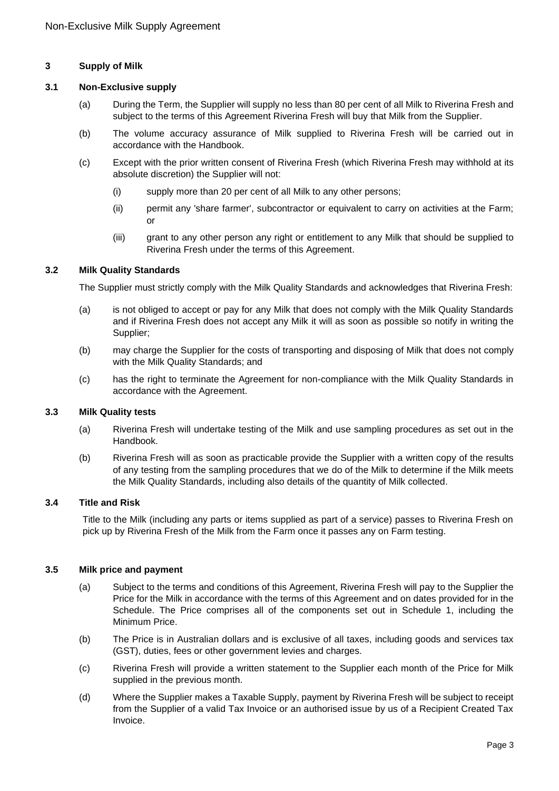### **3 Supply of Milk**

### **3.1 Non-Exclusive supply**

- (a) During the Term, the Supplier will supply no less than 80 per cent of all Milk to Riverina Fresh and subject to the terms of this Agreement Riverina Fresh will buy that Milk from the Supplier.
- (b) The volume accuracy assurance of Milk supplied to Riverina Fresh will be carried out in accordance with the Handbook.
- (c) Except with the prior written consent of Riverina Fresh (which Riverina Fresh may withhold at its absolute discretion) the Supplier will not:
	- (i) supply more than 20 per cent of all Milk to any other persons;
	- (ii) permit any 'share farmer', subcontractor or equivalent to carry on activities at the Farm; or
	- (iii) grant to any other person any right or entitlement to any Milk that should be supplied to Riverina Fresh under the terms of this Agreement.

### **3.2 Milk Quality Standards**

The Supplier must strictly comply with the Milk Quality Standards and acknowledges that Riverina Fresh:

- (a) is not obliged to accept or pay for any Milk that does not comply with the Milk Quality Standards and if Riverina Fresh does not accept any Milk it will as soon as possible so notify in writing the Supplier;
- (b) may charge the Supplier for the costs of transporting and disposing of Milk that does not comply with the Milk Quality Standards; and
- (c) has the right to terminate the Agreement for non-compliance with the Milk Quality Standards in accordance with the Agreement.

### **3.3 Milk Quality tests**

- (a) Riverina Fresh will undertake testing of the Milk and use sampling procedures as set out in the Handbook.
- (b) Riverina Fresh will as soon as practicable provide the Supplier with a written copy of the results of any testing from the sampling procedures that we do of the Milk to determine if the Milk meets the Milk Quality Standards, including also details of the quantity of Milk collected.

#### **3.4 Title and Risk**

Title to the Milk (including any parts or items supplied as part of a service) passes to Riverina Fresh on pick up by Riverina Fresh of the Milk from the Farm once it passes any on Farm testing.

### **3.5 Milk price and payment**

- (a) Subject to the terms and conditions of this Agreement, Riverina Fresh will pay to the Supplier the Price for the Milk in accordance with the terms of this Agreement and on dates provided for in the Schedule. The Price comprises all of the components set out in Schedule 1, including the Minimum Price.
- (b) The Price is in Australian dollars and is exclusive of all taxes, including goods and services tax (GST), duties, fees or other government levies and charges.
- (c) Riverina Fresh will provide a written statement to the Supplier each month of the Price for Milk supplied in the previous month.
- (d) Where the Supplier makes a Taxable Supply, payment by Riverina Fresh will be subject to receipt from the Supplier of a valid Tax Invoice or an authorised issue by us of a Recipient Created Tax Invoice.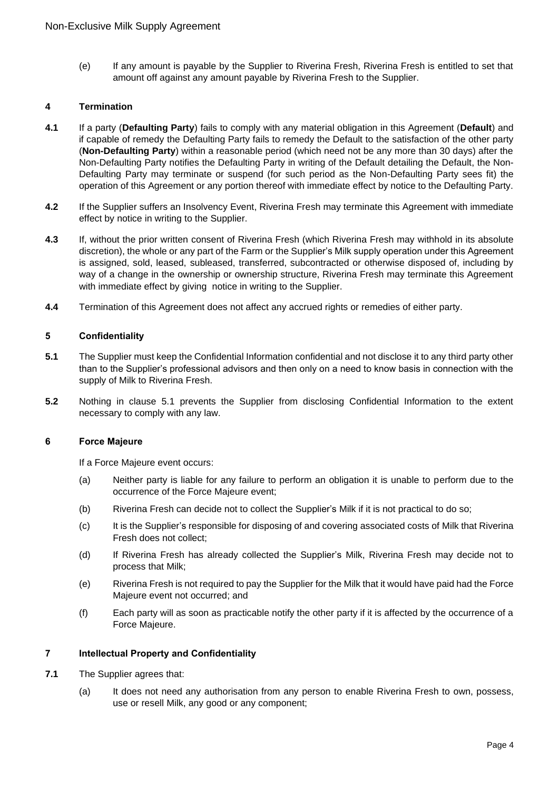(e) If any amount is payable by the Supplier to Riverina Fresh, Riverina Fresh is entitled to set that amount off against any amount payable by Riverina Fresh to the Supplier.

### **4 Termination**

- **4.1** If a party (**Defaulting Party**) fails to comply with any material obligation in this Agreement (**Default**) and if capable of remedy the Defaulting Party fails to remedy the Default to the satisfaction of the other party (**Non-Defaulting Party**) within a reasonable period (which need not be any more than 30 days) after the Non-Defaulting Party notifies the Defaulting Party in writing of the Default detailing the Default, the Non-Defaulting Party may terminate or suspend (for such period as the Non-Defaulting Party sees fit) the operation of this Agreement or any portion thereof with immediate effect by notice to the Defaulting Party.
- **4.2** If the Supplier suffers an Insolvency Event, Riverina Fresh may terminate this Agreement with immediate effect by notice in writing to the Supplier.
- **4.3** If, without the prior written consent of Riverina Fresh (which Riverina Fresh may withhold in its absolute discretion), the whole or any part of the Farm or the Supplier's Milk supply operation under this Agreement is assigned, sold, leased, subleased, transferred, subcontracted or otherwise disposed of, including by way of a change in the ownership or ownership structure, Riverina Fresh may terminate this Agreement with immediate effect by giving notice in writing to the Supplier.
- **4.4** Termination of this Agreement does not affect any accrued rights or remedies of either party.

### **5 Confidentiality**

- **5.1** The Supplier must keep the Confidential Information confidential and not disclose it to any third party other than to the Supplier's professional advisors and then only on a need to know basis in connection with the supply of Milk to Riverina Fresh.
- **5.2** Nothing in clause 5.1 prevents the Supplier from disclosing Confidential Information to the extent necessary to comply with any law.

#### **6 Force Majeure**

If a Force Majeure event occurs:

- (a) Neither party is liable for any failure to perform an obligation it is unable to perform due to the occurrence of the Force Majeure event;
- (b) Riverina Fresh can decide not to collect the Supplier's Milk if it is not practical to do so;
- (c) It is the Supplier's responsible for disposing of and covering associated costs of Milk that Riverina Fresh does not collect;
- (d) If Riverina Fresh has already collected the Supplier's Milk, Riverina Fresh may decide not to process that Milk;
- (e) Riverina Fresh is not required to pay the Supplier for the Milk that it would have paid had the Force Majeure event not occurred; and
- (f) Each party will as soon as practicable notify the other party if it is affected by the occurrence of a Force Majeure.

# **7 Intellectual Property and Confidentiality**

- **7.1** The Supplier agrees that:
	- (a) It does not need any authorisation from any person to enable Riverina Fresh to own, possess, use or resell Milk, any good or any component;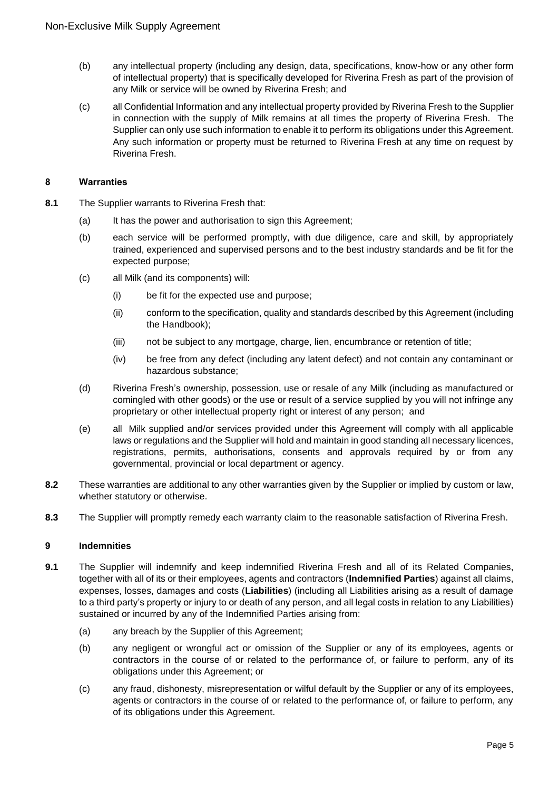- (b) any intellectual property (including any design, data, specifications, know-how or any other form of intellectual property) that is specifically developed for Riverina Fresh as part of the provision of any Milk or service will be owned by Riverina Fresh; and
- (c) all Confidential Information and any intellectual property provided by Riverina Fresh to the Supplier in connection with the supply of Milk remains at all times the property of Riverina Fresh. The Supplier can only use such information to enable it to perform its obligations under this Agreement. Any such information or property must be returned to Riverina Fresh at any time on request by Riverina Fresh.

## **8 Warranties**

- **8.1** The Supplier warrants to Riverina Fresh that:
	- (a) It has the power and authorisation to sign this Agreement;
	- (b) each service will be performed promptly, with due diligence, care and skill, by appropriately trained, experienced and supervised persons and to the best industry standards and be fit for the expected purpose;
	- (c) all Milk (and its components) will:
		- (i) be fit for the expected use and purpose;
		- (ii) conform to the specification, quality and standards described by this Agreement (including the Handbook);
		- (iii) not be subject to any mortgage, charge, lien, encumbrance or retention of title;
		- (iv) be free from any defect (including any latent defect) and not contain any contaminant or hazardous substance;
	- (d) Riverina Fresh's ownership, possession, use or resale of any Milk (including as manufactured or comingled with other goods) or the use or result of a service supplied by you will not infringe any proprietary or other intellectual property right or interest of any person; and
	- (e) all Milk supplied and/or services provided under this Agreement will comply with all applicable laws or regulations and the Supplier will hold and maintain in good standing all necessary licences, registrations, permits, authorisations, consents and approvals required by or from any governmental, provincial or local department or agency.
- **8.2** These warranties are additional to any other warranties given by the Supplier or implied by custom or law, whether statutory or otherwise.
- **8.3** The Supplier will promptly remedy each warranty claim to the reasonable satisfaction of Riverina Fresh.

# **9 Indemnities**

- **9.1** The Supplier will indemnify and keep indemnified Riverina Fresh and all of its Related Companies, together with all of its or their employees, agents and contractors (**Indemnified Parties**) against all claims, expenses, losses, damages and costs (**Liabilities**) (including all Liabilities arising as a result of damage to a third party's property or injury to or death of any person, and all legal costs in relation to any Liabilities) sustained or incurred by any of the Indemnified Parties arising from:
	- (a) any breach by the Supplier of this Agreement;
	- (b) any negligent or wrongful act or omission of the Supplier or any of its employees, agents or contractors in the course of or related to the performance of, or failure to perform, any of its obligations under this Agreement; or
	- (c) any fraud, dishonesty, misrepresentation or wilful default by the Supplier or any of its employees, agents or contractors in the course of or related to the performance of, or failure to perform, any of its obligations under this Agreement.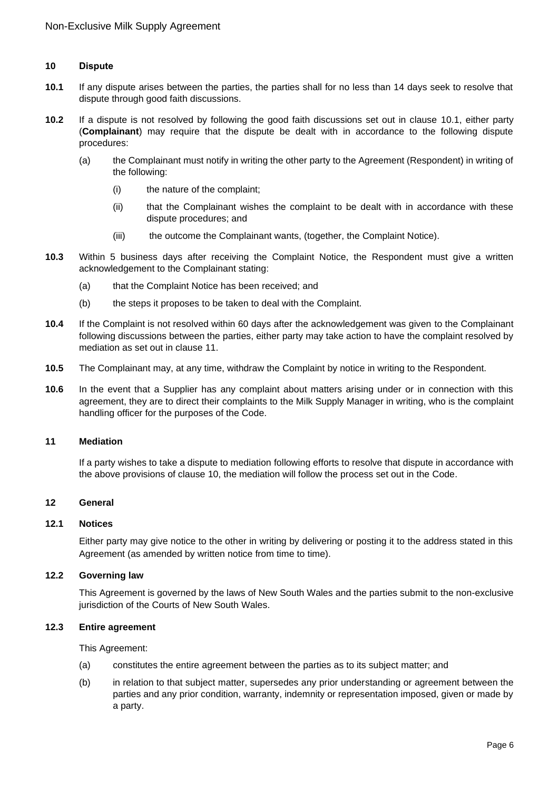### **10 Dispute**

- **10.1** If any dispute arises between the parties, the parties shall for no less than 14 days seek to resolve that dispute through good faith discussions.
- **10.2** If a dispute is not resolved by following the good faith discussions set out in clause 10.1, either party (**Complainant**) may require that the dispute be dealt with in accordance to the following dispute procedures:
	- (a) the Complainant must notify in writing the other party to the Agreement (Respondent) in writing of the following:
		- (i) the nature of the complaint;
		- (ii) that the Complainant wishes the complaint to be dealt with in accordance with these dispute procedures; and
		- (iii) the outcome the Complainant wants, (together, the Complaint Notice).
- **10.3** Within 5 business days after receiving the Complaint Notice, the Respondent must give a written acknowledgement to the Complainant stating:
	- (a) that the Complaint Notice has been received; and
	- (b) the steps it proposes to be taken to deal with the Complaint.
- **10.4** If the Complaint is not resolved within 60 days after the acknowledgement was given to the Complainant following discussions between the parties, either party may take action to have the complaint resolved by mediation as set out in clause 11.
- **10.5** The Complainant may, at any time, withdraw the Complaint by notice in writing to the Respondent.
- **10.6** In the event that a Supplier has any complaint about matters arising under or in connection with this agreement, they are to direct their complaints to the Milk Supply Manager in writing, who is the complaint handling officer for the purposes of the Code.

#### **11 Mediation**

If a party wishes to take a dispute to mediation following efforts to resolve that dispute in accordance with the above provisions of clause 10, the mediation will follow the process set out in the Code.

### **12 General**

### **12.1 Notices**

Either party may give notice to the other in writing by delivering or posting it to the address stated in this Agreement (as amended by written notice from time to time).

## **12.2 Governing law**

This Agreement is governed by the laws of New South Wales and the parties submit to the non-exclusive jurisdiction of the Courts of New South Wales.

#### **12.3 Entire agreement**

This Agreement:

- (a) constitutes the entire agreement between the parties as to its subject matter; and
- (b) in relation to that subject matter, supersedes any prior understanding or agreement between the parties and any prior condition, warranty, indemnity or representation imposed, given or made by a party.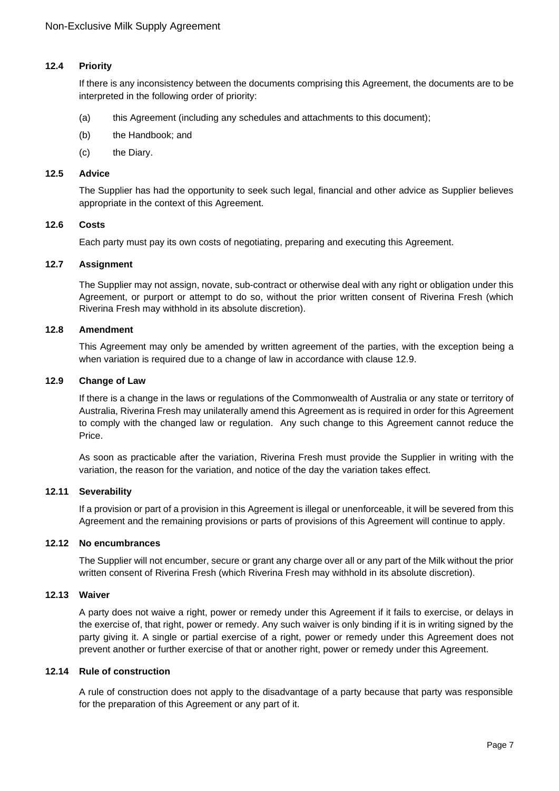# **12.4 Priority**

If there is any inconsistency between the documents comprising this Agreement, the documents are to be interpreted in the following order of priority:

- (a) this Agreement (including any schedules and attachments to this document);
- (b) the Handbook; and
- (c) the Diary.

### **12.5 Advice**

The Supplier has had the opportunity to seek such legal, financial and other advice as Supplier believes appropriate in the context of this Agreement.

### **12.6 Costs**

Each party must pay its own costs of negotiating, preparing and executing this Agreement.

# **12.7 Assignment**

The Supplier may not assign, novate, sub-contract or otherwise deal with any right or obligation under this Agreement, or purport or attempt to do so, without the prior written consent of Riverina Fresh (which Riverina Fresh may withhold in its absolute discretion).

### **12.8 Amendment**

This Agreement may only be amended by written agreement of the parties, with the exception being a when variation is required due to a change of law in accordance with clause 12.9.

### **12.9 Change of Law**

If there is a change in the laws or regulations of the Commonwealth of Australia or any state or territory of Australia, Riverina Fresh may unilaterally amend this Agreement as is required in order for this Agreement to comply with the changed law or regulation. Any such change to this Agreement cannot reduce the Price.

As soon as practicable after the variation, Riverina Fresh must provide the Supplier in writing with the variation, the reason for the variation, and notice of the day the variation takes effect.

### **12.11 Severability**

If a provision or part of a provision in this Agreement is illegal or unenforceable, it will be severed from this Agreement and the remaining provisions or parts of provisions of this Agreement will continue to apply.

#### **12.12 No encumbrances**

The Supplier will not encumber, secure or grant any charge over all or any part of the Milk without the prior written consent of Riverina Fresh (which Riverina Fresh may withhold in its absolute discretion).

# **12.13 Waiver**

A party does not waive a right, power or remedy under this Agreement if it fails to exercise, or delays in the exercise of, that right, power or remedy. Any such waiver is only binding if it is in writing signed by the party giving it. A single or partial exercise of a right, power or remedy under this Agreement does not prevent another or further exercise of that or another right, power or remedy under this Agreement.

#### **12.14 Rule of construction**

A rule of construction does not apply to the disadvantage of a party because that party was responsible for the preparation of this Agreement or any part of it.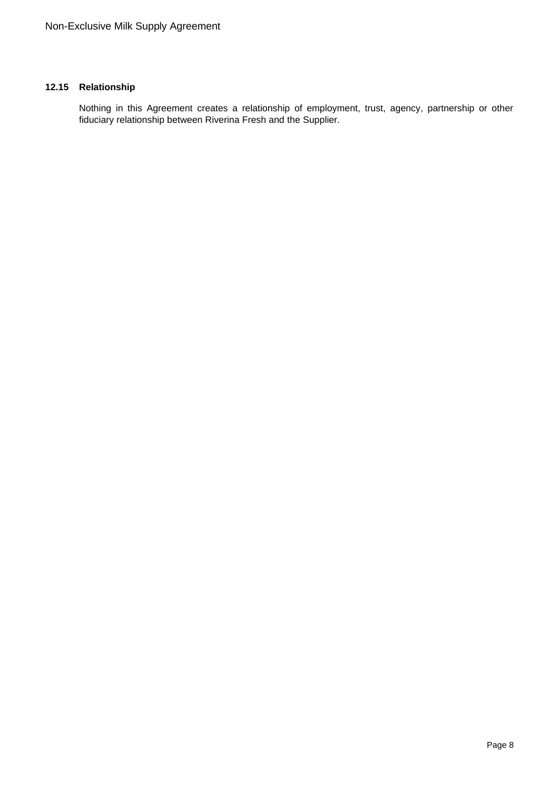# **12.15 Relationship**

Nothing in this Agreement creates a relationship of employment, trust, agency, partnership or other fiduciary relationship between Riverina Fresh and the Supplier.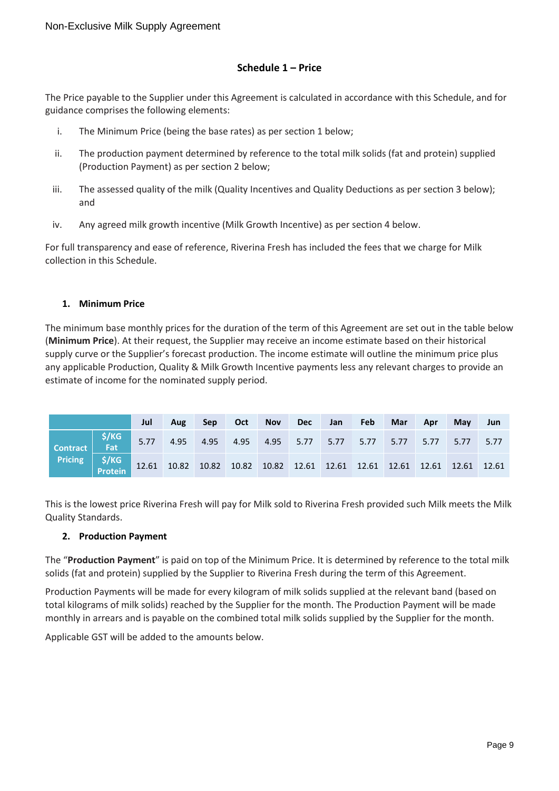# **Schedule 1 – Price**

The Price payable to the Supplier under this Agreement is calculated in accordance with this Schedule, and for guidance comprises the following elements:

- i. The Minimum Price (being the base rates) as per section 1 below;
- ii. The production payment determined by reference to the total milk solids (fat and protein) supplied (Production Payment) as per section 2 below;
- iii. The assessed quality of the milk (Quality Incentives and Quality Deductions as per section 3 below); and
- iv. Any agreed milk growth incentive (Milk Growth Incentive) as per section 4 below.

For full transparency and ease of reference, Riverina Fresh has included the fees that we charge for Milk collection in this Schedule.

# **1. Minimum Price**

The minimum base monthly prices for the duration of the term of this Agreement are set out in the table below (**Minimum Price**). At their request, the Supplier may receive an income estimate based on their historical supply curve or the Supplier's forecast production. The income estimate will outline the minimum price plus any applicable Production, Quality & Milk Growth Incentive payments less any relevant charges to provide an estimate of income for the nominated supply period.

|                                                                                                                                                                    | Jul | Aug |  |  |  | Sep Oct Nov Dec Jan Feb Mar Apr May |  | <b>Jun</b> |
|--------------------------------------------------------------------------------------------------------------------------------------------------------------------|-----|-----|--|--|--|-------------------------------------|--|------------|
| Contract 5.77 5.77 4.95 4.95 4.95 4.95 5.77 5.77 5.77 5.77 5.77 5.77 5.77<br>Pricing \$/KG 12.61 10.82 10.82 10.82 10.82 12.61 12.61 12.61 12.61 12.61 12.61 12.61 |     |     |  |  |  |                                     |  |            |
|                                                                                                                                                                    |     |     |  |  |  |                                     |  |            |

This is the lowest price Riverina Fresh will pay for Milk sold to Riverina Fresh provided such Milk meets the Milk Quality Standards.

# **2. Production Payment**

The "**Production Payment**" is paid on top of the Minimum Price. It is determined by reference to the total milk solids (fat and protein) supplied by the Supplier to Riverina Fresh during the term of this Agreement.

Production Payments will be made for every kilogram of milk solids supplied at the relevant band (based on total kilograms of milk solids) reached by the Supplier for the month. The Production Payment will be made monthly in arrears and is payable on the combined total milk solids supplied by the Supplier for the month.

Applicable GST will be added to the amounts below.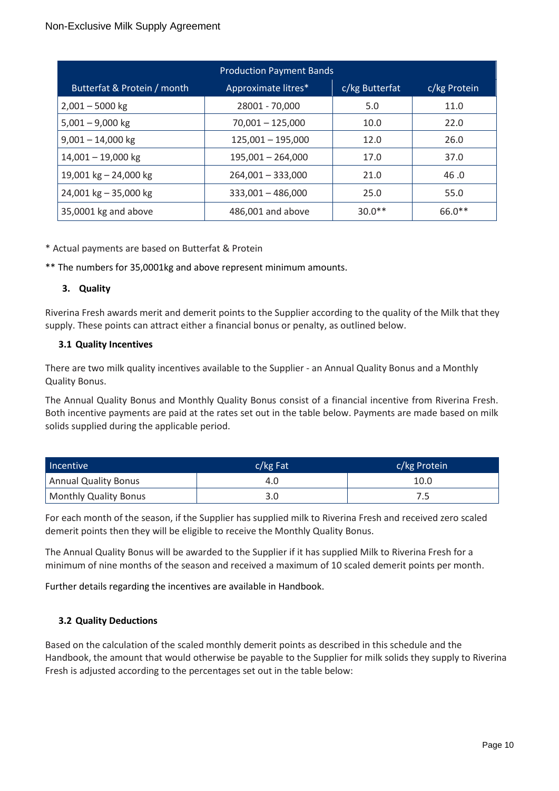| <b>Production Payment Bands</b> |                     |                |              |  |  |  |  |  |  |
|---------------------------------|---------------------|----------------|--------------|--|--|--|--|--|--|
| Butterfat & Protein / month     | Approximate litres* | c/kg Butterfat | c/kg Protein |  |  |  |  |  |  |
| $2,001 - 5000$ kg               | 28001 - 70,000      | 5.0            | 11.0         |  |  |  |  |  |  |
| $5,001 - 9,000$ kg              | $70,001 - 125,000$  | 10.0           | 22.0         |  |  |  |  |  |  |
| $9,001 - 14,000$ kg             | $125,001 - 195,000$ | 12.0           | 26.0         |  |  |  |  |  |  |
| $14,001 - 19,000$ kg            | $195,001 - 264,000$ | 17.0           | 37.0         |  |  |  |  |  |  |
| 19,001 kg $-$ 24,000 kg         | $264,001 - 333,000$ | 21.0           | 46.0         |  |  |  |  |  |  |
| 24,001 kg $-$ 35,000 kg         | $333,001 - 486,000$ | 25.0           | 55.0         |  |  |  |  |  |  |
| 35,0001 kg and above            | 486,001 and above   | $30.0**$       | 66.0**       |  |  |  |  |  |  |

\* Actual payments are based on Butterfat & Protein

\*\* The numbers for 35,0001kg and above represent minimum amounts.

# **3. Quality**

Riverina Fresh awards merit and demerit points to the Supplier according to the quality of the Milk that they supply. These points can attract either a financial bonus or penalty, as outlined below.

# **3.1 Quality Incentives**

There are two milk quality incentives available to the Supplier - an Annual Quality Bonus and a Monthly Quality Bonus.

The Annual Quality Bonus and Monthly Quality Bonus consist of a financial incentive from Riverina Fresh. Both incentive payments are paid at the rates set out in the table below. Payments are made based on milk solids supplied during the applicable period.

| Incentive             | $c/kg$ Fat | c/kg Protein |
|-----------------------|------------|--------------|
| Annual Quality Bonus  | 4.O        | 10.0         |
| Monthly Quality Bonus |            |              |

For each month of the season, if the Supplier has supplied milk to Riverina Fresh and received zero scaled demerit points then they will be eligible to receive the Monthly Quality Bonus.

The Annual Quality Bonus will be awarded to the Supplier if it has supplied Milk to Riverina Fresh for a minimum of nine months of the season and received a maximum of 10 scaled demerit points per month.

Further details regarding the incentives are available in Handbook.

# **3.2 Quality Deductions**

Based on the calculation of the scaled monthly demerit points as described in this schedule and the Handbook, the amount that would otherwise be payable to the Supplier for milk solids they supply to Riverina Fresh is adjusted according to the percentages set out in the table below: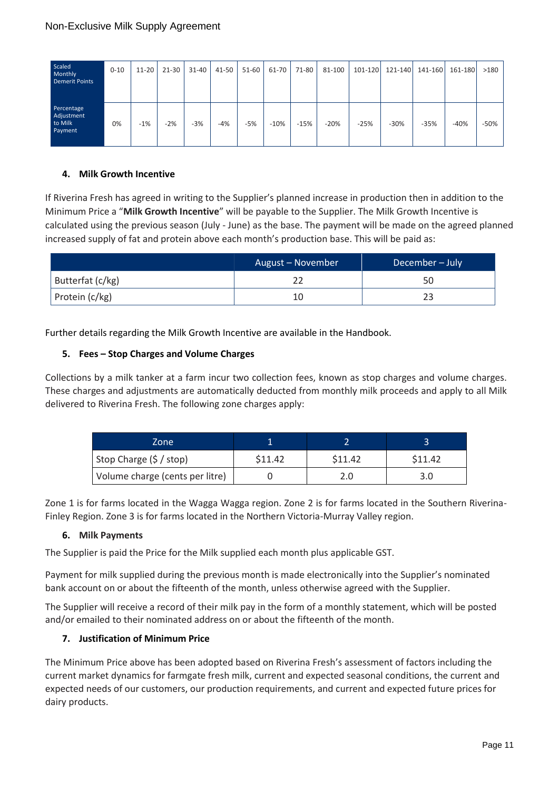| Scaled<br>Monthly<br><b>Demerit Points</b>     | $0 - 10$ | $11 - 20$ | $21 - 30$ | $31 - 40$ | 41-50 | $51 - 60$ | $61-70$ | 71-80  | 81-100 |        | 101-120 121-140 | 141-160 | 161-180 | >180   |
|------------------------------------------------|----------|-----------|-----------|-----------|-------|-----------|---------|--------|--------|--------|-----------------|---------|---------|--------|
| Percentage<br>Adjustment<br>to Milk<br>Payment | 0%       | $-1%$     | $-2%$     | $-3%$     | $-4%$ | $-5%$     | $-10%$  | $-15%$ | $-20%$ | $-25%$ | $-30%$          | $-35%$  | $-40%$  | $-50%$ |

# **4. Milk Growth Incentive**

If Riverina Fresh has agreed in writing to the Supplier's planned increase in production then in addition to the Minimum Price a "**Milk Growth Incentive**" will be payable to the Supplier. The Milk Growth Incentive is calculated using the previous season (July - June) as the base. The payment will be made on the agreed planned increased supply of fat and protein above each month's production base. This will be paid as:

|                  | August – November | December - July |
|------------------|-------------------|-----------------|
| Butterfat (c/kg) |                   | 50              |
| Protein (c/kg)   | 10                |                 |

Further details regarding the Milk Growth Incentive are available in the Handbook.

# **5. Fees – Stop Charges and Volume Charges**

Collections by a milk tanker at a farm incur two collection fees, known as stop charges and volume charges. These charges and adjustments are automatically deducted from monthly milk proceeds and apply to all Milk delivered to Riverina Fresh. The following zone charges apply:

| Zone                            |         |         |         |
|---------------------------------|---------|---------|---------|
| Stop Charge (\$ / stop)         | \$11.42 | \$11.42 | \$11.42 |
| Volume charge (cents per litre) |         |         | 3.0     |

Zone 1 is for farms located in the Wagga Wagga region. Zone 2 is for farms located in the Southern Riverina-Finley Region. Zone 3 is for farms located in the Northern Victoria-Murray Valley region.

### **6. Milk Payments**

The Supplier is paid the Price for the Milk supplied each month plus applicable GST.

Payment for milk supplied during the previous month is made electronically into the Supplier's nominated bank account on or about the fifteenth of the month, unless otherwise agreed with the Supplier.

The Supplier will receive a record of their milk pay in the form of a monthly statement, which will be posted and/or emailed to their nominated address on or about the fifteenth of the month.

# **7. Justification of Minimum Price**

The Minimum Price above has been adopted based on Riverina Fresh's assessment of factors including the current market dynamics for farmgate fresh milk, current and expected seasonal conditions, the current and expected needs of our customers, our production requirements, and current and expected future prices for dairy products.